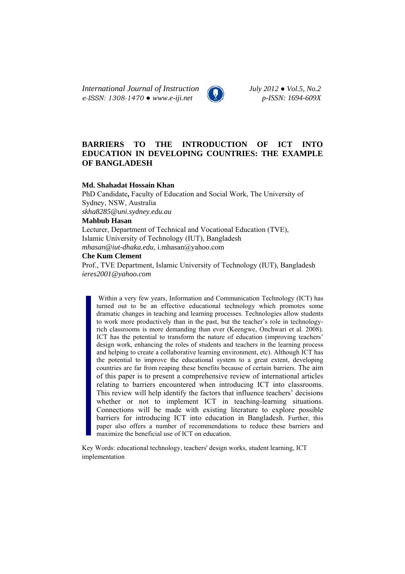*International Journal of Instruction July 2012 ● Vol.5, No.2 e-ISSN: 1308-1470 ● www.e-iji.net p-ISSN: 1694-609X*

# **BARRIERS TO THE INTRODUCTION OF ICT INTO EDUCATION IN DEVELOPING COUNTRIES: THE EXAMPLE OF BANGLADESH**

## **Md. Shahadat Hossain Khan**

PhD Candidate**,** Faculty of Education and Social Work, The University of Sydney, NSW, Australia *skha8285@uni.sydney.edu.au* 

# **Mahbub Hasan**

Lecturer, Department of Technical and Vocational Education (TVE), Islamic University of Technology (IUT), Bangladesh *mhasan@iut-dhaka.edu*, i.mhasan@yahoo.com

### **Che Kum Clement**

Prof., TVE Department, Islamic University of Technology (IUT), Bangladesh *ieres2001@yahoo.com*

Within a very few years, Information and Communication Technology (ICT) has turned out to be an effective educational technology which promotes some dramatic changes in teaching and learning processes. Technologies allow students to work more productively than in the past, but the teacher's role in technologyrich classrooms is more demanding than ever (Keengwe, Onchwari et al. 2008). ICT has the potential to transform the nature of education (improving teachers' design work, enhancing the roles of students and teachers in the learning process and helping to create a collaborative learning environment, etc). Although ICT has the potential to improve the educational system to a great extent, developing countries are far from reaping these benefits because of certain barriers. The aim of this paper is to present a comprehensive review of international articles relating to barriers encountered when introducing ICT into classrooms. This review will help identify the factors that influence teachers' decisions whether or not to implement ICT in teaching-learning situations. Connections will be made with existing literature to explore possible barriers for introducing ICT into education in Bangladesh. Further, this paper also offers a number of recommendations to reduce these barriers and maximize the beneficial use of ICT on education.

Key Words: educational technology, teachers' design works, student learning, ICT implementation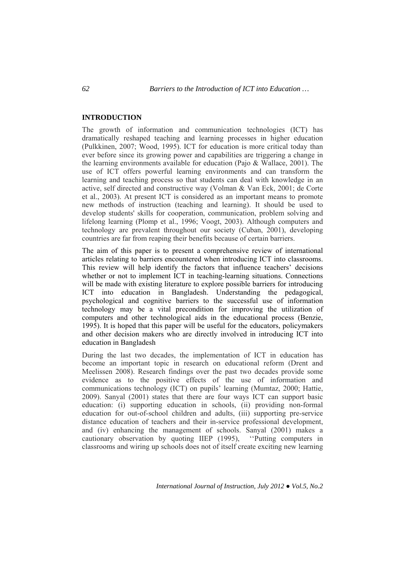## **INTRODUCTION**

The growth of information and communication technologies (ICT) has dramatically reshaped teaching and learning processes in higher education (Pulkkinen, 2007; Wood, 1995). ICT for education is more critical today than ever before since its growing power and capabilities are triggering a change in the learning environments available for education (Pajo & Wallace, 2001). The use of ICT offers powerful learning environments and can transform the learning and teaching process so that students can deal with knowledge in an active, self directed and constructive way (Volman & Van Eck, 2001; de Corte et al., 2003). At present ICT is considered as an important means to promote new methods of instruction (teaching and learning). It should be used to develop students' skills for cooperation, communication, problem solving and lifelong learning (Plomp et al., 1996; Voogt, 2003). Although computers and technology are prevalent throughout our society (Cuban, 2001), developing countries are far from reaping their benefits because of certain barriers.

The aim of this paper is to present a comprehensive review of international articles relating to barriers encountered when introducing ICT into classrooms. This review will help identify the factors that influence teachers' decisions whether or not to implement ICT in teaching-learning situations. Connections will be made with existing literature to explore possible barriers for introducing ICT into education in Bangladesh. Understanding the pedagogical, psychological and cognitive barriers to the successful use of information technology may be a vital precondition for improving the utilization of computers and other technological aids in the educational process (Benzie, 1995). It is hoped that this paper will be useful for the educators, policymakers and other decision makers who are directly involved in introducing ICT into education in Bangladesh

During the last two decades, the implementation of ICT in education has become an important topic in research on educational reform (Drent and Meelissen 2008). Research findings over the past two decades provide some evidence as to the positive effects of the use of information and communications technology (ICT) on pupils' learning (Mumtaz, 2000; Hattie, 2009). Sanyal (2001) states that there are four ways ICT can support basic education: (i) supporting education in schools, (ii) providing non-formal education for out-of-school children and adults, (iii) supporting pre-service distance education of teachers and their in-service professional development, and (iv) enhancing the management of schools. Sanyal (2001) makes a cautionary observation by quoting IIEP (1995), ''Putting computers in classrooms and wiring up schools does not of itself create exciting new learning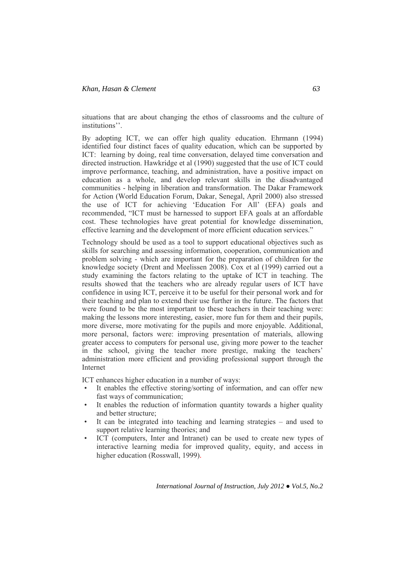situations that are about changing the ethos of classrooms and the culture of institutions''.

By adopting ICT, we can offer high quality education. Ehrmann (1994) identified four distinct faces of quality education, which can be supported by ICT: learning by doing, real time conversation, delayed time conversation and directed instruction. Hawkridge et al (1990) suggested that the use of ICT could improve performance, teaching, and administration, have a positive impact on education as a whole, and develop relevant skills in the disadvantaged communities - helping in liberation and transformation. The Dakar Framework for Action (World Education Forum, Dakar, Senegal, April 2000) also stressed the use of ICT for achieving 'Education For All' (EFA) goals and recommended, "ICT must be harnessed to support EFA goals at an affordable cost. These technologies have great potential for knowledge dissemination, effective learning and the development of more efficient education services."

Technology should be used as a tool to support educational objectives such as skills for searching and assessing information, cooperation, communication and problem solving - which are important for the preparation of children for the knowledge society (Drent and Meelissen 2008). Cox et al (1999) carried out a study examining the factors relating to the uptake of ICT in teaching. The results showed that the teachers who are already regular users of ICT have confidence in using ICT, perceive it to be useful for their personal work and for their teaching and plan to extend their use further in the future. The factors that were found to be the most important to these teachers in their teaching were: making the lessons more interesting, easier, more fun for them and their pupils, more diverse, more motivating for the pupils and more enjoyable. Additional, more personal, factors were: improving presentation of materials, allowing greater access to computers for personal use, giving more power to the teacher in the school, giving the teacher more prestige, making the teachers' administration more efficient and providing professional support through the Internet

ICT enhances higher education in a number of ways:

- It enables the effective storing/sorting of information, and can offer new fast ways of communication;
- It enables the reduction of information quantity towards a higher quality and better structure;
- It can be integrated into teaching and learning strategies and used to support relative learning theories; and
- ICT (computers, Inter and Intranet) can be used to create new types of interactive learning media for improved quality, equity, and access in higher education (Rosswall, 1999).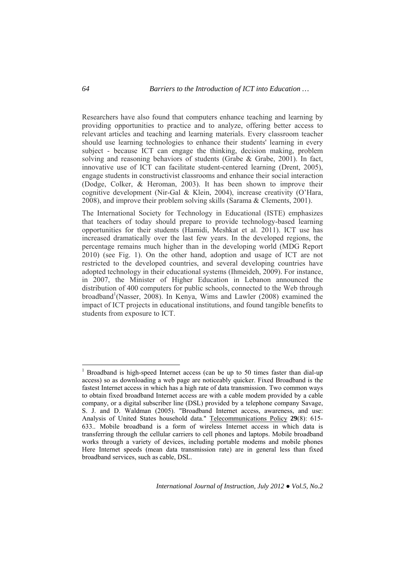Researchers have also found that computers enhance teaching and learning by providing opportunities to practice and to analyze, offering better access to relevant articles and teaching and learning materials. Every classroom teacher should use learning technologies to enhance their students' learning in every subject - because ICT can engage the thinking, decision making, problem solving and reasoning behaviors of students (Grabe & Grabe, 2001). In fact, innovative use of ICT can facilitate student-centered learning (Drent, 2005), engage students in constructivist classrooms and enhance their social interaction (Dodge, Colker, & Heroman, 2003). It has been shown to improve their cognitive development (Nir-Gal & Klein, 2004), increase creativity (O'Hara, 2008), and improve their problem solving skills (Sarama & Clements, 2001).

The International Society for Technology in Educational (ISTE) emphasizes that teachers of today should prepare to provide technology-based learning opportunities for their students (Hamidi, Meshkat et al. 2011). ICT use has increased dramatically over the last few years. In the developed regions, the percentage remains much higher than in the developing world (MDG Report 2010) (see Fig. 1). On the other hand, adoption and usage of ICT are not restricted to the developed countries, and several developing countries have adopted technology in their educational systems (Ihmeideh, 2009). For instance, in 2007, the Minister of Higher Education in Lebanon announced the distribution of 400 computers for public schools, connected to the Web through broadband<sup>1</sup>(Nasser, 2008). In Kenya, Wims and Lawler (2008) examined the impact of ICT projects in educational institutions, and found tangible benefits to students from exposure to ICT.

 $\overline{a}$ 

<sup>1</sup> Broadband is high-speed Internet access (can be up to 50 times faster than dial-up access) so as downloading a web page are noticeably quicker. Fixed Broadband is the fastest Internet access in which has a high rate of data transmission. Two common ways to obtain fixed broadband Internet access are with a cable modem provided by a cable company, or a digital subscriber line (DSL) provided by a telephone company Savage, S. J. and D. Waldman (2005). "Broadband Internet access, awareness, and use: Analysis of United States household data." Telecommunications Policy **29**(8): 615- 633.. Mobile broadband is a form of wireless Internet access in which data is transferring through the cellular carriers to cell phones and laptops. Mobile broadband works through a variety of devices, including portable modems and mobile phones Here Internet speeds (mean data transmission rate) are in general less than fixed broadband services, such as cable, DSL.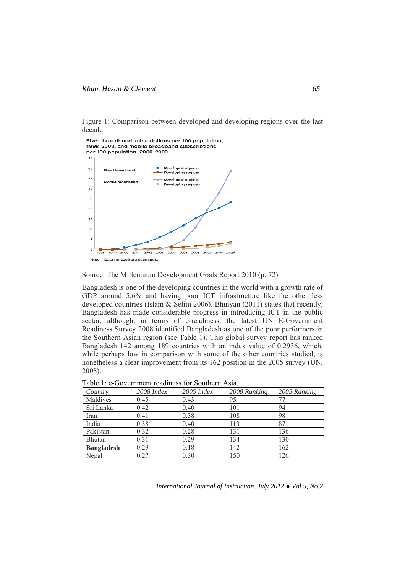



#### Source: The Millennium Development Goals Report 2010 (p. 72)

Bangladesh is one of the developing countries in the world with a growth rate of GDP around 5.6% and having poor ICT infrastructure like the other less developed countries (Islam & Selim 2006). Bhuiyan (2011) states that recently, Bangladesh has made considerable progress in introducing ICT in the public sector, although, in terms of e-readiness, the latest UN E-Government Readiness Survey 2008 identified Bangladesh as one of the poor performers in the Southern Asian region (see Table 1). This global survey report has ranked Bangladesh 142 among 189 countries with an index value of 0.2936, which, while perhaps low in comparison with some of the other countries studied, is nonetheless a clear improvement from its 162 position in the 2005 survey (UN, 2008).

| Country           | $2008$ Index | $2005$ Index | 2008 Ranking | 2005 Ranking |
|-------------------|--------------|--------------|--------------|--------------|
| Maldives          | 0.45         | 0.43         | 95           |              |
| Sri Lanka         | 0.42         | 0.40         | 101          | 94           |
| Iran              | 0.41         | 0.38         | 108          | 98           |
| India             | 0.38         | 0.40         | 113          | 87           |
| Pakistan          | 0.32         | 0.28         | 131          | 136          |
| Bhutan            | 0.31         | 0.29         | 134          | 130          |
| <b>Bangladesh</b> | 0.29         | 0.18         | 142          | 162          |
| Nepal             | 0.27         | 0.30         | 150          | 126          |

Table 1: e-Government readiness for Southern Asia.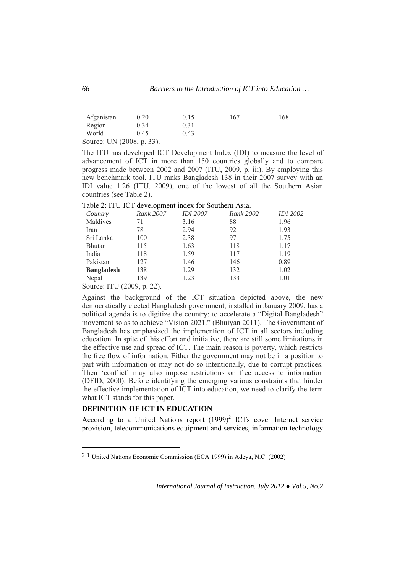| Afganistan                                                                                                          | 0.20 | ∪.⊥J  | .67 | 68 |  |
|---------------------------------------------------------------------------------------------------------------------|------|-------|-----|----|--|
| Region                                                                                                              |      | v. v  |     |    |  |
| World                                                                                                               | 0.45 | 42 (، |     |    |  |
| $\alpha$ $\mathbf{I} \mathbf{I} \mathbf{I}$ $\mathbf{I} \mathbf{A}$ $\mathbf{A} \mathbf{A}$ $\mathbf{A} \mathbf{A}$ |      |       |     |    |  |

Source: UN (2008, p. 33).

The ITU has developed ICT Development Index (IDI) to measure the level of advancement of ICT in more than 150 countries globally and to compare progress made between 2002 and 2007 (ITU, 2009, p. iii). By employing this new benchmark tool, ITU ranks Bangladesh 138 in their 2007 survey with an IDI value 1.26 (ITU, 2009), one of the lowest of all the Southern Asian countries (see Table 2).

Table 2: ITU ICT development index for Southern Asia.

| Country           | Rank 2007 | <b>IDI</b> 2007 | Rank 2002 | <b>IDI</b> 2002 |
|-------------------|-----------|-----------------|-----------|-----------------|
| Maldives          |           | 3.16            | 88        | 1.96            |
| Iran              | 78        | 2.94            | 92        | 1.93            |
| Sri Lanka         | 100       | 2.38            | 97        | 1.75            |
| <b>Bhutan</b>     | 115       | 1.63            | 118       | 1.17            |
| India             | 118       | 1.59            | 117       | 1.19            |
| Pakistan          | 127       | 1.46            | 146       | 0.89            |
| <b>Bangladesh</b> | 138       | 1.29            | 132       | 1.02            |
| Nepal             | 139       | .23             | 133       | 1.01            |

Source: ITU (2009, p. 22).

 $\overline{a}$ 

Against the background of the ICT situation depicted above, the new democratically elected Bangladesh government, installed in January 2009, has a political agenda is to digitize the country: to accelerate a "Digital Bangladesh" movement so as to achieve "Vision 2021." (Bhuiyan 2011). The Government of Bangladesh has emphasized the implemention of ICT in all sectors including education. In spite of this effort and initiative, there are still some limitations in the effective use and spread of ICT. The main reason is poverty, which restricts the free flow of information. Either the government may not be in a position to part with information or may not do so intentionally, due to corrupt practices. Then 'conflict' may also impose restrictions on free access to information (DFID, 2000). Before identifying the emerging various constraints that hinder the effective implementation of ICT into education, we need to clarify the term what ICT stands for this paper.

# **DEFINITION OF ICT IN EDUCATION**

According to a United Nations report  $(1999)^2$  ICTs cover Internet service provision, telecommunications equipment and services, information technology

<sup>2</sup> 1 United Nations Economic Commission (ECA 1999) in Adeya, N.C. (2002)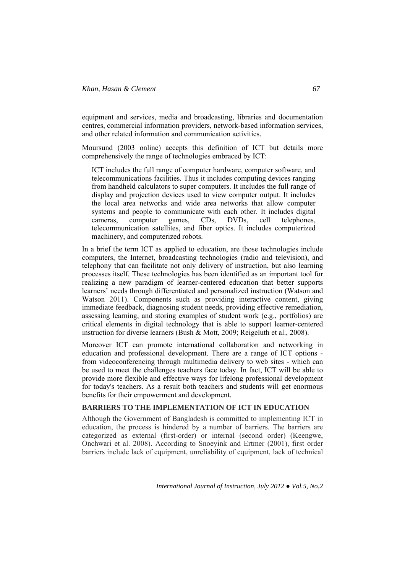equipment and services, media and broadcasting, libraries and documentation centres, commercial information providers, network-based information services, and other related information and communication activities.

Moursund (2003 online) accepts this definition of ICT but details more comprehensively the range of technologies embraced by ICT:

ICT includes the full range of computer hardware, computer software, and telecommunications facilities. Thus it includes computing devices ranging from handheld calculators to super computers. It includes the full range of display and projection devices used to view computer output. It includes the local area networks and wide area networks that allow computer systems and people to communicate with each other. It includes digital cameras, computer games, CDs, DVDs, cell telephones, telecommunication satellites, and fiber optics. It includes computerized machinery, and computerized robots.

In a brief the term ICT as applied to education, are those technologies include computers, the Internet, broadcasting technologies (radio and television), and telephony that can facilitate not only delivery of instruction, but also learning processes itself. These technologies has been identified as an important tool for realizing a new paradigm of learner-centered education that better supports learners' needs through differentiated and personalized instruction (Watson and Watson 2011). Components such as providing interactive content, giving immediate feedback, diagnosing student needs, providing effective remediation, assessing learning, and storing examples of student work (e.g., portfolios) are critical elements in digital technology that is able to support learner-centered instruction for diverse learners (Bush & Mott, 2009; Reigeluth et al., 2008).

Moreover ICT can promote international collaboration and networking in education and professional development. There are a range of ICT options from videoconferencing through multimedia delivery to web sites - which can be used to meet the challenges teachers face today. In fact, ICT will be able to provide more flexible and effective ways for lifelong professional development for today's teachers. As a result both teachers and students will get enormous benefits for their empowerment and development.

# **BARRIERS TO THE IMPLEMENTATION OF ICT IN EDUCATION**

Although the Government of Bangladesh is committed to implementing ICT in education, the process is hindered by a number of barriers. The barriers are categorized as external (first-order) or internal (second order) (Keengwe, Onchwari et al. 2008). According to Snoeyink and Ertmer (2001), first order barriers include lack of equipment, unreliability of equipment, lack of technical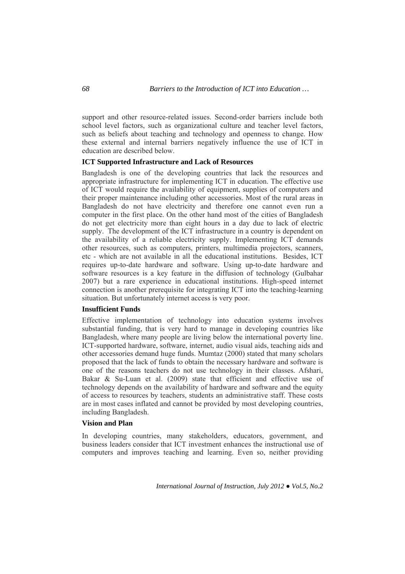support and other resource-related issues. Second-order barriers include both school level factors, such as organizational culture and teacher level factors, such as beliefs about teaching and technology and openness to change. How these external and internal barriers negatively influence the use of ICT in education are described below.

### **ICT Supported Infrastructure and Lack of Resources**

Bangladesh is one of the developing countries that lack the resources and appropriate infrastructure for implementing ICT in education. The effective use of ICT would require the availability of equipment, supplies of computers and their proper maintenance including other accessories. Most of the rural areas in Bangladesh do not have electricity and therefore one cannot even run a computer in the first place. On the other hand most of the cities of Bangladesh do not get electricity more than eight hours in a day due to lack of electric supply. The development of the ICT infrastructure in a country is dependent on the availability of a reliable electricity supply. Implementing ICT demands other resources, such as computers, printers, multimedia projectors, scanners, etc - which are not available in all the educational institutions. Besides, ICT requires up-to-date hardware and software. Using up-to-date hardware and software resources is a key feature in the diffusion of technology (Gulbahar 2007) but a rare experience in educational institutions. High-speed internet connection is another prerequisite for integrating ICT into the teaching-learning situation. But unfortunately internet access is very poor.

# **Insufficient Funds**

Effective implementation of technology into education systems involves substantial funding, that is very hard to manage in developing countries like Bangladesh, where many people are living below the international poverty line. ICT-supported hardware, software, internet, audio visual aids, teaching aids and other accessories demand huge funds. Mumtaz (2000) stated that many scholars proposed that the lack of funds to obtain the necessary hardware and software is one of the reasons teachers do not use technology in their classes. Afshari, Bakar & Su-Luan et al. (2009) state that efficient and effective use of technology depends on the availability of hardware and software and the equity of access to resources by teachers, students an administrative staff. These costs are in most cases inflated and cannot be provided by most developing countries, including Bangladesh.

# **Vision and Plan**

In developing countries, many stakeholders, educators, government, and business leaders consider that ICT investment enhances the instructional use of computers and improves teaching and learning. Even so, neither providing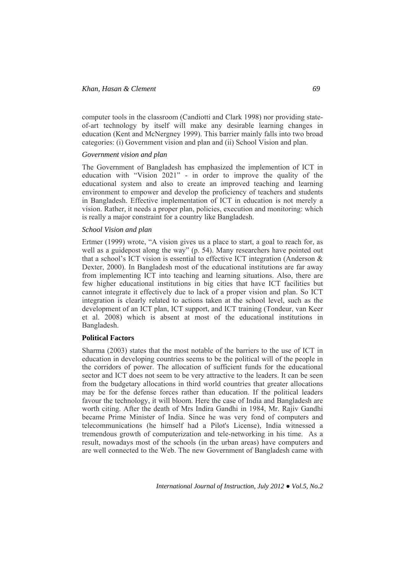computer tools in the classroom (Candiotti and Clark 1998) nor providing stateof-art technology by itself will make any desirable learning changes in education (Kent and McNergney 1999). This barrier mainly falls into two broad categories: (i) Government vision and plan and (ii) School Vision and plan.

### *Government vision and plan*

The Government of Bangladesh has emphasized the implemention of ICT in education with "Vision 2021" - in order to improve the quality of the educational system and also to create an improved teaching and learning environment to empower and develop the proficiency of teachers and students in Bangladesh. Effective implementation of ICT in education is not merely a vision. Rather, it needs a proper plan, policies, execution and monitoring: which is really a major constraint for a country like Bangladesh.

### *School Vision and plan*

Ertmer (1999) wrote, "A vision gives us a place to start, a goal to reach for, as well as a guidepost along the way" (p. 54). Many researchers have pointed out that a school's ICT vision is essential to effective ICT integration (Anderson & Dexter, 2000). In Bangladesh most of the educational institutions are far away from implementing ICT into teaching and learning situations. Also, there are few higher educational institutions in big cities that have ICT facilities but cannot integrate it effectively due to lack of a proper vision and plan. So ICT integration is clearly related to actions taken at the school level, such as the development of an ICT plan, ICT support, and ICT training (Tondeur, van Keer et al. 2008) which is absent at most of the educational institutions in Bangladesh.

#### **Political Factors**

Sharma (2003) states that the most notable of the barriers to the use of ICT in education in developing countries seems to be the political will of the people in the corridors of power. The allocation of sufficient funds for the educational sector and ICT does not seem to be very attractive to the leaders. It can be seen from the budgetary allocations in third world countries that greater allocations may be for the defense forces rather than education. If the political leaders favour the technology, it will bloom. Here the case of India and Bangladesh are worth citing. After the death of Mrs Indira Gandhi in 1984, Mr. Rajiv Gandhi became Prime Minister of India. Since he was very fond of computers and telecommunications (he himself had a Pilot's License), India witnessed a tremendous growth of computerization and tele-networking in his time. As a result, nowadays most of the schools (in the urban areas) have computers and are well connected to the Web. The new Government of Bangladesh came with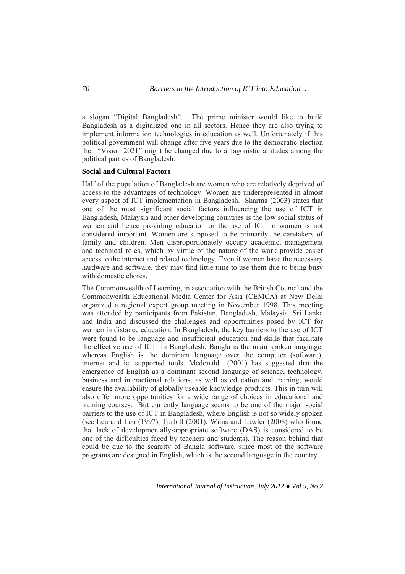a slogan "Digital Bangladesh". The prime minister would like to build Bangladesh as a digitalized one in all sectors. Hence they are also trying to implement information technologies in education as well. Unfortunately if this political government will change after five years due to the democratic election then "Vision 2021" might be changed due to antagonistic attitudes among the political parties of Bangladesh.

### **Social and Cultural Factors**

Half of the population of Bangladesh are women who are relatively deprived of access to the advantages of technology. Women are underepresented in almost every aspect of ICT implementation in Bangladesh. Sharma (2003) states that one of the most significant social factors influencing the use of ICT in Bangladesh, Malaysia and other developing countries is the low social status of women and hence providing education or the use of ICT to women is not considered important. Women are supposed to be primarily the caretakers of family and children. Men disproportionately occupy academic, management and technical roles, which by virtue of the nature of the work provide easier access to the internet and related technology. Even if women have the necessary hardware and software, they may find little time to use them due to being busy with domestic chores.

The Commonwealth of Learning, in association with the British Council and the Commonwealth Educational Media Center for Asia (CEMCA) at New Delhi organized a regional expert group meeting in November 1998. This meeting was attended by participants from Pakistan, Bangladesh, Malaysia, Sri Lanka and India and discussed the challenges and opportunities posed by ICT for women in distance education. In Bangladesh, the key barriers to the use of ICT were found to be language and insufficient education and skills that facilitate the effective use of ICT. In Bangladesh, Bangla is the main spoken language, whereas English is the dominant language over the computer (software), internet and ict supported tools. Mcdonald (2001) has suggested that the emergence of English as a dominant second language of science, technology, business and interactional relations, as well as education and training, would ensure the availability of globally useable knowledge products. This in turn will also offer more opportunities for a wide range of choices in educational and training courses. But currently language seems to be one of the major social barriers to the use of ICT in Bangladesh, where English is not so widely spoken (see Leu and Leu (1997), Turbill (2001), Wims and Lawler (2008) who found that lack of developmentally-appropriate software (DAS) is considered to be one of the difficulties faced by teachers and students). The reason behind that could be due to the scarcity of Bangla software, since most of the software programs are designed in English, which is the second language in the country.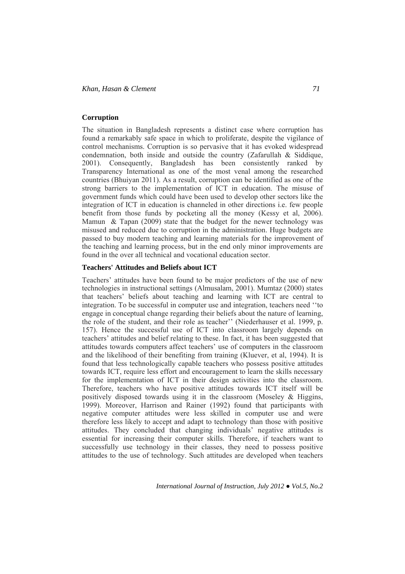# **Corruption**

The situation in Bangladesh represents a distinct case where corruption has found a remarkably safe space in which to proliferate, despite the vigilance of control mechanisms. Corruption is so pervasive that it has evoked widespread condemnation, both inside and outside the country  $(Za$  farullah  $\&$  Siddique, 2001). Consequently, Bangladesh has been consistently ranked by Transparency International as one of the most venal among the researched countries (Bhuiyan 2011). As a result, corruption can be identified as one of the strong barriers to the implementation of ICT in education. The misuse of government funds which could have been used to develop other sectors like the integration of ICT in education is channeled in other directions i.e. few people benefit from those funds by pocketing all the money (Kessy et al, 2006). Mamun & Tapan (2009) state that the budget for the newer technology was misused and reduced due to corruption in the administration. Huge budgets are passed to buy modern teaching and learning materials for the improvement of the teaching and learning process, but in the end only minor improvements are found in the over all technical and vocational education sector.

### **Teachers' Attitudes and Beliefs about ICT**

Teachers' attitudes have been found to be major predictors of the use of new technologies in instructional settings (Almusalam, 2001). Mumtaz (2000) states that teachers' beliefs about teaching and learning with ICT are central to integration. To be successful in computer use and integration, teachers need ''to engage in conceptual change regarding their beliefs about the nature of learning, the role of the student, and their role as teacher'' (Niederhauser et al. 1999, p. 157). Hence the successful use of ICT into classroom largely depends on teachers' attitudes and belief relating to these. In fact, it has been suggested that attitudes towards computers affect teachers' use of computers in the classroom and the likelihood of their benefiting from training (Kluever, et al, 1994). It is found that less technologically capable teachers who possess positive attitudes towards ICT, require less effort and encouragement to learn the skills necessary for the implementation of ICT in their design activities into the classroom. Therefore, teachers who have positive attitudes towards ICT itself will be positively disposed towards using it in the classroom (Moseley & Higgins, 1999). Moreover, Harrison and Rainer (1992) found that participants with negative computer attitudes were less skilled in computer use and were therefore less likely to accept and adapt to technology than those with positive attitudes. They concluded that changing individuals' negative attitudes is essential for increasing their computer skills. Therefore, if teachers want to successfully use technology in their classes, they need to possess positive attitudes to the use of technology. Such attitudes are developed when teachers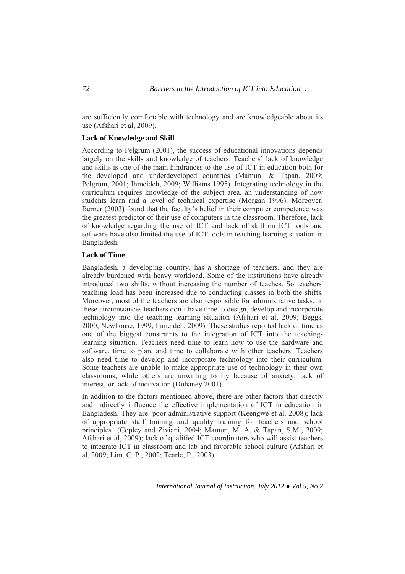are sufficiently comfortable with technology and are knowledgeable about its use (Afshari et al, 2009).

# **Lack of Knowledge and Skill**

According to Pelgrum (2001), the success of educational innovations depends largely on the skills and knowledge of teachers. Teachers' lack of knowledge and skills is one of the main hindrances to the use of ICT in education both for the developed and underdeveloped countries (Mamun, & Tapan, 2009; Pelgrum, 2001; Ihmeideh, 2009; Williams 1995). Integrating technology in the curriculum requires knowledge of the subject area, an understanding of how students learn and a level of technical expertise (Morgan 1996). Moreover, Berner (2003) found that the faculty's belief in their computer competence was the greatest predictor of their use of computers in the classroom. Therefore, lack of knowledge regarding the use of ICT and lack of skill on ICT tools and software have also limited the use of ICT tools in teaching learning situation in Bangladesh.

## **Lack of Time**

Bangladesh, a developing country, has a shortage of teachers, and they are already burdened with heavy workload. Some of the institutions have already introduced two shifts, without increasing the number of teaches. So teachers' teaching load has been increased due to conducting classes in both the shifts. Moreover, most of the teachers are also responsible for administrative tasks. In these circumstances teachers don't have time to design, develop and incorporate technology into the teaching learning situation (Afshari et al, 2009; Beggs, 2000; Newhouse, 1999; Ihmeideh, 2009). These studies reported lack of time as one of the biggest constraints to the integration of ICT into the teachinglearning situation. Teachers need time to learn how to use the hardware and software, time to plan, and time to collaborate with other teachers. Teachers also need time to develop and incorporate technology into their curriculum. Some teachers are unable to make appropriate use of technology in their own classrooms, while others are unwilling to try because of anxiety, lack of interest, or lack of motivation (Duhaney 2001).

In addition to the factors mentioned above, there are other factors that directly and indirectly influence the effective implementation of ICT in education in Bangladesh. They are: poor administrative support (Keengwe et al. 2008); lack of appropriate staff training and quality training for teachers and school principles (Copley and Ziviani, 2004; Mamun, M. A. & Tapan, S.M., 2009; Afshari et al, 2009); lack of qualified ICT coordinators who will assist teachers to integrate ICT in classroom and lab and favorable school culture (Afshari et al, 2009; Lim, C. P., 2002; Tearle, P., 2003).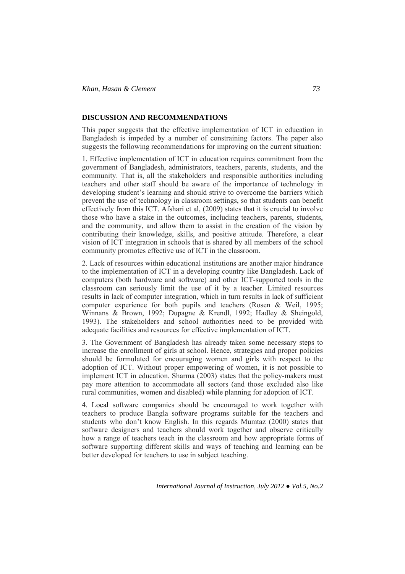## **DISCUSSION AND RECOMMENDATIONS**

This paper suggests that the effective implementation of ICT in education in Bangladesh is impeded by a number of constraining factors. The paper also suggests the following recommendations for improving on the current situation:

1. Effective implementation of ICT in education requires commitment from the government of Bangladesh, administrators, teachers, parents, students, and the community. That is, all the stakeholders and responsible authorities including teachers and other staff should be aware of the importance of technology in developing student's learning and should strive to overcome the barriers which prevent the use of technology in classroom settings, so that students can benefit effectively from this ICT. Afshari et al, (2009) states that it is crucial to involve those who have a stake in the outcomes, including teachers, parents, students, and the community, and allow them to assist in the creation of the vision by contributing their knowledge, skills, and positive attitude. Therefore, a clear vision of ICT integration in schools that is shared by all members of the school community promotes effective use of ICT in the classroom.

2. Lack of resources within educational institutions are another major hindrance to the implementation of ICT in a developing country like Bangladesh. Lack of computers (both hardware and software) and other ICT-supported tools in the classroom can seriously limit the use of it by a teacher. Limited resources results in lack of computer integration, which in turn results in lack of sufficient computer experience for both pupils and teachers (Rosen & Weil, 1995; Winnans & Brown, 1992; Dupagne & Krendl, 1992; Hadley & Sheingold, 1993). The stakeholders and school authorities need to be provided with adequate facilities and resources for effective implementation of ICT.

3. The Government of Bangladesh has already taken some necessary steps to increase the enrollment of girls at school. Hence, strategies and proper policies should be formulated for encouraging women and girls with respect to the adoption of ICT. Without proper empowering of women, it is not possible to implement ICT in education. Sharma (2003) states that the policy-makers must pay more attention to accommodate all sectors (and those excluded also like rural communities, women and disabled) while planning for adoption of ICT.

4. Local software companies should be encouraged to work together with teachers to produce Bangla software programs suitable for the teachers and students who don't know English. In this regards Mumtaz (2000) states that software designers and teachers should work together and observe critically how a range of teachers teach in the classroom and how appropriate forms of software supporting different skills and ways of teaching and learning can be better developed for teachers to use in subject teaching.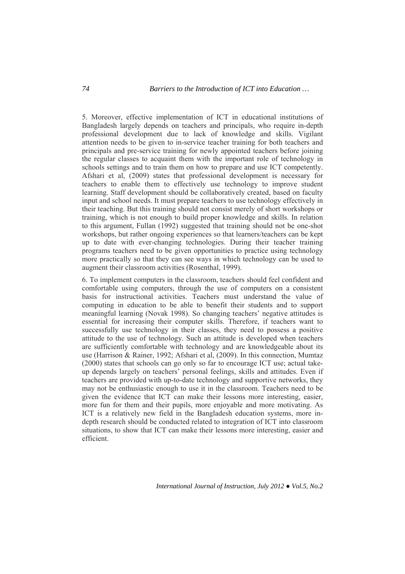5. Moreover, effective implementation of ICT in educational institutions of Bangladesh largely depends on teachers and principals, who require in-depth professional development due to lack of knowledge and skills. Vigilant attention needs to be given to in-service teacher training for both teachers and principals and pre-service training for newly appointed teachers before joining the regular classes to acquaint them with the important role of technology in schools settings and to train them on how to prepare and use ICT competently. Afshari et al, (2009) states that professional development is necessary for teachers to enable them to effectively use technology to improve student learning. Staff development should be collaboratively created, based on faculty input and school needs. It must prepare teachers to use technology effectively in their teaching. But this training should not consist merely of short workshops or training, which is not enough to build proper knowledge and skills. In relation to this argument, Fullan (1992) suggested that training should not be one-shot workshops, but rather ongoing experiences so that learners/teachers can be kept up to date with ever-changing technologies. During their teacher training programs teachers need to be given opportunities to practice using technology more practically so that they can see ways in which technology can be used to augment their classroom activities (Rosenthal, 1999).

6. To implement computers in the classroom, teachers should feel confident and comfortable using computers, through the use of computers on a consistent basis for instructional activities. Teachers must understand the value of computing in education to be able to benefit their students and to support meaningful learning (Novak 1998). So changing teachers' negative attitudes is essential for increasing their computer skills. Therefore, if teachers want to successfully use technology in their classes, they need to possess a positive attitude to the use of technology. Such an attitude is developed when teachers are sufficiently comfortable with technology and are knowledgeable about its use (Harrison & Rainer, 1992; Afshari et al, (2009). In this connection, Mumtaz (2000) states that schools can go only so far to encourage ICT use; actual takeup depends largely on teachers' personal feelings, skills and attitudes. Even if teachers are provided with up-to-date technology and supportive networks, they may not be enthusiastic enough to use it in the classroom. Teachers need to be given the evidence that ICT can make their lessons more interesting, easier, more fun for them and their pupils, more enjoyable and more motivating. As ICT is a relatively new field in the Bangladesh education systems, more indepth research should be conducted related to integration of ICT into classroom situations, to show that ICT can make their lessons more interesting, easier and efficient.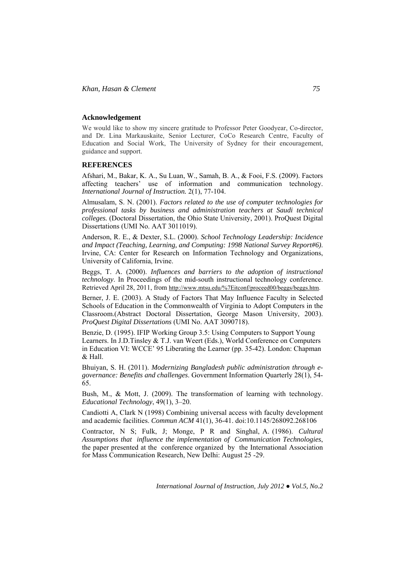### **Acknowledgement**

We would like to show my sincere gratitude to Professor Peter Goodyear, Co-director, and Dr. Lina Markauskaite, Senior Lecturer, CoCo Research Centre, Faculty of Education and Social Work, The University of Sydney for their encouragement, guidance and support.

#### **REFERENCES**

Afshari, M., Bakar, K. A., Su Luan, W., Samah, B. A., & Fooi, F.S. (2009). Factors affecting teachers' use of information and communication technology. *International Journal of Instruction.* 2(1), 77-104.

Almusalam, S. N. (2001). *Factors related to the use of computer technologies for professional tasks by business and administration teachers at Saudi technical colleges.* (Doctoral Dissertation, the Ohio State University, 2001). ProQuest Digital Dissertations (UMI No. AAT 3011019).

Anderson, R. E., & Dexter, S.L. (2000). *School Technology Leadership: Incidence and Impact (Teaching, Learning, and Computing: 1998 National Survey Report#6)*. Irvine, CA: Center for Research on Information Technology and Organizations, University of California, Irvine.

Beggs, T. A. (2000). *Influences and barriers to the adoption of instructional technology*. In Proceedings of the mid-south instructional technology conference. Retrieved April 28, 2011, from http://www.mtsu.edu/%7Eitconf/proceed00/beggs/beggs.htm.

Berner, J. E. (2003). A Study of Factors That May Influence Faculty in Selected Schools of Education in the Commonwealth of Virginia to Adopt Computers in the Classroom.(Abstract Doctoral Dissertation, George Mason University, 2003). *ProQuest Digital Dissertations* (UMI No. AAT 3090718).

Benzie, D. (1995). IFIP Working Group 3.5: Using Computers to Support Young Learners. In J.D.Tinsley & T.J. van Weert (Eds.), World Conference on Computers in Education VI: WCCE' 95 Liberating the Learner (pp. 35-42). London: Chapman  $&$  Hall

Bhuiyan, S. H. (2011). *Modernizing Bangladesh public administration through egovernance: Benefits and challenges*. Government Information Quarterly 28(1), 54- 65.

Bush, M., & Mott, J. (2009). The transformation of learning with technology. *Educational Technology*, 49(1), 3–20.

Candiotti A, Clark N (1998) Combining universal access with faculty development and academic facilities. *Commun ACM* 41(1), 36-41. doi:10.1145/268092.268106

Contractor, N S; Fulk, J; Monge, P R and Singhal, A. (1986). *Cultural Assumptions that influence the implementation of Communication Technologies*, the paper presented at the conference organized by the International Association for Mass Communication Research, New Delhi: August 25 -29.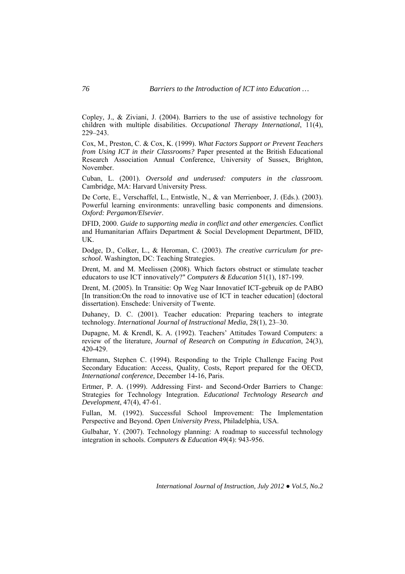Copley, J., & Ziviani, J. (2004). Barriers to the use of assistive technology for children with multiple disabilities. *Occupational Therapy International*, 11(4), 229–243.

Cox, M., Preston, C. & Cox, K. (1999). *What Factors Support or Prevent Teachers from Using ICT in their Classrooms?* Paper presented at the British Educational Research Association Annual Conference, University of Sussex, Brighton, November.

Cuban, L. (2001). *Oversold and underused: computers in the classroom.*  Cambridge, MA: Harvard University Press.

De Corte, E., Verschaffel, L., Entwistle, N., & van Merrienboer, J. (Eds.). (2003). Powerful learning environments: unravelling basic components and dimensions. *Oxford: Pergamon/Elsevier*.

DFID, 2000. *Guide to supporting media in conflict and other emergencies.* Conflict and Humanitarian Affairs Department & Social Development Department, DFID, UK.

Dodge, D., Colker, L., & Heroman, C. (2003). *The creative curriculum for preschool*. Washington, DC: Teaching Strategies.

Drent, M. and M. Meelissen (2008). Which factors obstruct or stimulate teacher educators to use ICT innovatively?" *Computers & Education* 51(1), 187-199.

Drent, M. (2005). In Transitie: Op Weg Naar Innovatief ICT-gebruik op de PABO [In transition:On the road to innovative use of ICT in teacher education] (doctoral dissertation). Enschede: University of Twente.

Duhaney, D. C. (2001). Teacher education: Preparing teachers to integrate technology. *International Journal of Instructional Media*, 28(1), 23–30.

Dupagne, M. & Krendl, K. A. (1992). Teachers' Attitudes Toward Computers: a review of the literature, *Journal of Research on Computing in Education*, 24(3), 420-429.

Ehrmann, Stephen C. (1994). Responding to the Triple Challenge Facing Post Secondary Education: Access, Quality, Costs, Report prepared for the OECD, *International conference,* December 14-16, Paris.

Ertmer, P. A. (1999). Addressing First- and Second-Order Barriers to Change: Strategies for Technology Integration. *Educational Technology Research and Development*, 47(4), 47-61.

Fullan, M. (1992). Successful School Improvement: The Implementation Perspective and Beyond. *Open University Press*, Philadelphia, USA.

Gulbahar, Y. (2007). Technology planning: A roadmap to successful technology integration in schools. *Computers & Education* 49(4): 943-956.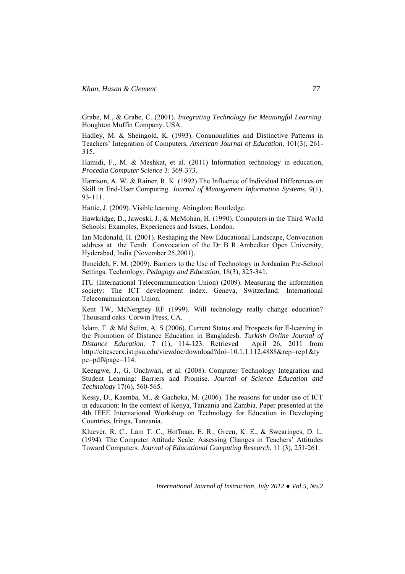Grabe, M., & Grabe, C. (2001). *Integrating Technology for Meaningful Learning*. Houghton Muffin Company. USA.

Hadley, M. & Sheingold, K. (1993). Commonalities and Distinctive Patterns in Teachers' Integration of Computers, *American Journal of Education*, 101(3), 261- 315.

Hamidi, F., M. & Meshkat, et al. (2011) Information technology in education, *Procedia Computer Science* 3: 369-373.

Harrison, A. W. & Rainer, R. K. (1992) The Influence of Individual Differences on Skill in End-User Computing. *Journal of Management Information Systems,* 9(1), 93-111.

Hattie, J. (2009). Visible learning. Abingdon: Routledge.

Hawkridge, D., Jawoski, J., & McMohan, H. (1990). Computers in the Third World Schools: Examples, Experiences and Issues, London.

Ian Mcdonald, H. (2001). Reshaping the New Educational Landscape, Convocation address at the Tenth Convocation of the Dr B R Ambedkar Open University, Hyderabad, India (November 25,2001).

Ihmeideh, F. M. (2009). Barriers to the Use of Technology in Jordanian Pre-School Settings. Technology, *Pedagogy and Education*, 18(3), 325-341.

ITU (International Telecommunication Union) (2009). Measuring the information society: The ICT development index. Geneva, Switzerland: International Telecommunication Union.

Kent TW, McNergney RF (1999). Will technology really change education? Thousand oaks. Corwin Press, CA.

Islam, T. & Md Selim, A. S (2006). Current Status and Prospects for E-learning in the Promotion of Distance Education in Bangladesh. *Turkish Online Journal of Distance Education*. 7 (1), 114-123. Retrieved April 26, 2011 from http://citeseerx.ist.psu.edu/viewdoc/download?doi=10.1.1.112.4888&rep=rep1&ty pe=pdf#page=114.

Keengwe, J., G. Onchwari, et al. (2008). Computer Technology Integration and Student Learning: Barriers and Promise. *Journal of Science Education and Technology* 17(6), 560-565.

Kessy, D., Kaemba, M., & Gachoka, M. (2006). The reasons for under use of ICT in education: In the context of Kenya, Tanzania and Zambia. Paper presented at the 4th IEEE International Workshop on Technology for Education in Developing Countries, Iringa, Tanzania.

Kluever, R. C., Lam T. C., Hoffman, E. R., Green, K. E., & Swearinges, D. L. (1994). The Computer Attitude Scale: Assessing Changes in Teachers' Attitudes Toward Computers. *Journal of Educational Computing Research*, 11 (3), 251-261.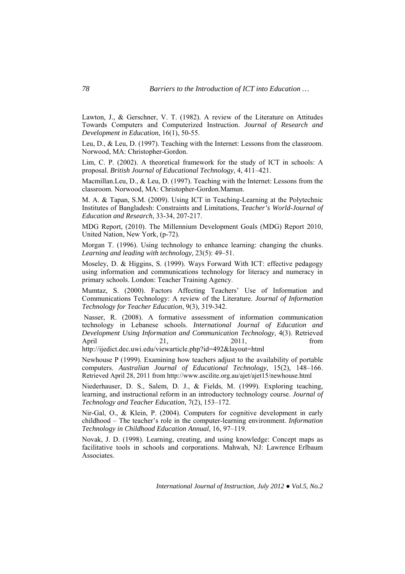Lawton, J., & Gerschner, V. T. (1982). A review of the Literature on Attitudes Towards Computers and Computerized Instruction. *Journal of Research and Development in Education*, 16(1), 50-55.

Leu, D., & Leu, D. (1997). Teaching with the Internet: Lessons from the classroom. Norwood, MA: Christopher-Gordon.

Lim, C. P. (2002). A theoretical framework for the study of ICT in schools: A proposal. *British Journal of Educational Technology*, 4, 411–421.

Macmillan.Leu, D., & Leu, D. (1997). Teaching with the Internet: Lessons from the classroom. Norwood, MA: Christopher-Gordon.Mamun.

M. A. & Tapan, S.M. (2009). Using ICT in Teaching-Learning at the Polytechnic Institutes of Bangladesh: Constraints and Limitations, *Teacher's World-Journal of Education and Research*, 33-34, 207-217.

MDG Report, (2010). The Millennium Development Goals (MDG) Report 2010, United Nation, New York, (p-72).

Morgan T. (1996). Using technology to enhance learning: changing the chunks. *Learning and leading with technology*, 23(5): 49–51.

Moseley, D. & Higgins, S. (1999). Ways Forward With ICT: effective pedagogy using information and communications technology for literacy and numeracy in primary schools. London: Teacher Training Agency.

Mumtaz, S. (2000). Factors Affecting Teachers' Use of Information and Communications Technology: A review of the Literature. *Journal of Information Technology for Teacher Education*, 9(3), 319-342.

 Nasser, R. (2008). A formative assessment of information communication technology in Lebanese schools. *International Journal of Education and Development Using Information and Communication Technology,* 4(3). Retrieved April 21, 2011, from

http://ijedict.dec.uwi.edu/viewarticle.php?id=492&layout=html

Newhouse P (1999). Examining how teachers adjust to the availability of portable computers. *Australian Journal of Educational Technology,* 15(2), 148–166. Retrieved April 28, 2011 from http://www.ascilite.org.au/ajet/ajet15/newhouse.html

Niederhauser, D. S., Salem, D. J., & Fields, M. (1999). Exploring teaching, learning, and instructional reform in an introductory technology course. *Journal of Technology and Teacher Education,* 7(2), 153–172.

Nir-Gal, O., & Klein, P. (2004). Computers for cognitive development in early childhood – The teacher's role in the computer-learning environment. *Information Technology in Childhood Education Annual*, 16, 97–119.

Novak, J. D. (1998). Learning, creating, and using knowledge: Concept maps as facilitative tools in schools and corporations. Mahwah, NJ: Lawrence Erlbaum Associates.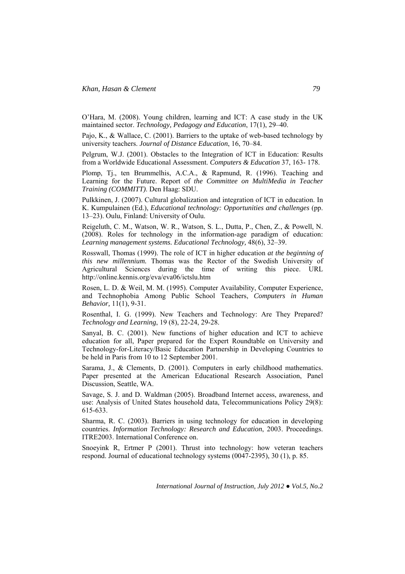O'Hara, M. (2008). Young children, learning and ICT: A case study in the UK maintained sector. *Technology, Pedagogy and Education*, 17(1), 29–40.

Pajo, K., & Wallace, C. (2001). Barriers to the uptake of web-based technology by university teachers. *Journal of Distance Education*, 16, 70–84.

Pelgrum, W.J. (2001). Obstacles to the Integration of ICT in Education: Results from a Worldwide Educational Assessment. *Computers & Education* 37, 163- 178.

Plomp, Tj., ten Brummelhis, A.C.A., & Rapmund, R. (1996). Teaching and Learning for the Future. Report of *the Committee on MultiMedia in Teacher Training (COMMITT)*. Den Haag: SDU.

Pulkkinen, J. (2007). Cultural globalization and integration of ICT in education. In K. Kumpulainen (Ed.), *Educational technology: Opportunities and challenges* (pp. 13–23). Oulu, Finland: University of Oulu.

Reigeluth, C. M., Watson, W. R., Watson, S. L., Dutta, P., Chen, Z., & Powell, N. (2008). Roles for technology in the information-age paradigm of education: *Learning management systems. Educational Technology,* 48(6), 32–39.

Rosswall, Thomas (1999). The role of ICT in higher education *at the beginning of this new millennium.* Thomas was the Rector of the Swedish University of Agricultural Sciences during the time of writing this piece. URL http://online.kennis.org/eva/eva06/ictslu.htm

Rosen, L. D. & Weil, M. M. (1995). Computer Availability, Computer Experience, and Technophobia Among Public School Teachers, *Computers in Human Behavior,* 11(1), 9-31.

Rosenthal, I. G. (1999). New Teachers and Technology: Are They Prepared? *Technology and Learning*, 19 (8), 22-24, 29-28.

Sanyal, B. C. (2001). New functions of higher education and ICT to achieve education for all, Paper prepared for the Expert Roundtable on University and Technology-for-Literacy/Basic Education Partnership in Developing Countries to be held in Paris from 10 to 12 September 2001.

Sarama, J., & Clements, D. (2001). Computers in early childhood mathematics. Paper presented at the American Educational Research Association, Panel Discussion, Seattle, WA.

Savage, S. J. and D. Waldman (2005). Broadband Internet access, awareness, and use: Analysis of United States household data, Telecommunications Policy 29(8): 615-633.

Sharma, R. C. (2003). Barriers in using technology for education in developing countries. *Information Technology: Research and Education*, 2003. Proceedings. ITRE2003. International Conference on.

Snoeyink R, Ertmer P (2001). Thrust into technology: how veteran teachers respond. Journal of educational technology systems (0047-2395), 30 (1), p. 85.